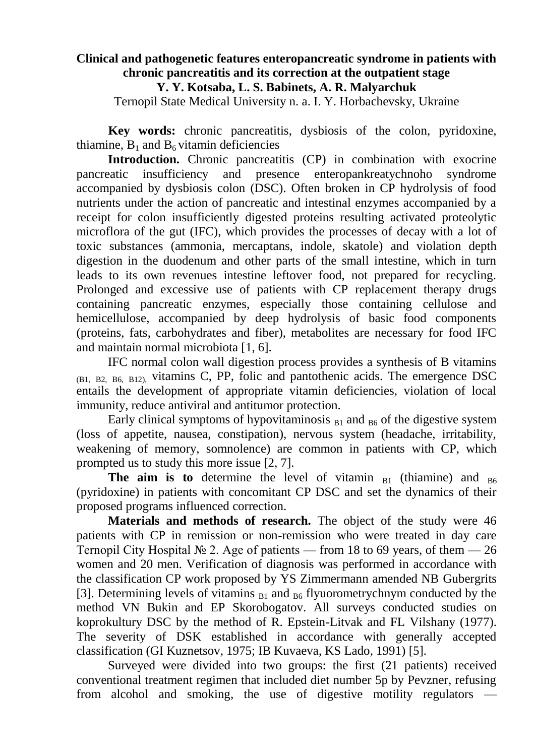## **Clinical and pathogenetic features enteropancreatic syndrome in patients with chronic pancreatitis and its correction at the outpatient stage Y. Y. Kotsaba, L. S. Babinets, A. R. Malyarchuk**

Ternopil State Medical University n. a. I. Y. Horbachevsky, Ukraine

**Key words:** chronic pancreatitis, dysbiosis of the colon, pyridoxine, thiamine,  $B_1$  and  $B_6$  vitamin deficiencies

**Introduction.** Chronic pancreatitis (CP) in combination with exocrine pancreatic insufficiency and presence enteropankreatychnoho syndrome accompanied by dysbiosis colon (DSC). Often broken in CP hydrolysis of food nutrients under the action of pancreatic and intestinal enzymes accompanied by a receipt for colon insufficiently digested proteins resulting activated proteolytic microflora of the gut (IFC), which provides the processes of decay with a lot of toxic substances (ammonia, mercaptans, indole, skatole) and violation depth digestion in the duodenum and other parts of the small intestine, which in turn leads to its own revenues intestine leftover food, not prepared for recycling. Prolonged and excessive use of patients with CP replacement therapy drugs containing pancreatic enzymes, especially those containing cellulose and hemicellulose, accompanied by deep hydrolysis of basic food components (proteins, fats, carbohydrates and fiber), metabolites are necessary for food IFC and maintain normal microbiota [1, 6].

IFC normal colon wall digestion process provides a synthesis of B vitamins (B1, B2, B6, B12), vitamins C, PP, folic and pantothenic acids. The emergence DSC entails the development of appropriate vitamin deficiencies, violation of local immunity, reduce antiviral and antitumor protection.

Early clinical symptoms of hypovitaminosis  $_{B1}$  and  $_{B6}$  of the digestive system (loss of appetite, nausea, constipation), nervous system (headache, irritability, weakening of memory, somnolence) are common in patients with CP, which prompted us to study this more issue [2, 7].

**The aim is to** determine the level of vitamin  $_{B1}$  (thiamine) and  $_{B6}$ (pyridoxine) in patients with concomitant CP DSC and set the dynamics of their proposed programs influenced correction.

**Materials and methods of research.** The object of the study were 46 patients with CP in remission or non-remission who were treated in day care Ternopil City Hospital  $\mathbb{N}^2$  2. Age of patients — from 18 to 69 years, of them — 26 women and 20 men. Verification of diagnosis was performed in accordance with the classification CP work proposed by YS Zimmermann amended NB Gubergrits [3]. Determining levels of vitamins  $_{B1}$  and  $_{B6}$  flyuorometrychnym conducted by the method VN Bukin and EP Skorobogatov. All surveys conducted studies on koprokultury DSC by the method of R. Epstein-Litvak and FL Vilshany (1977). The severity of DSK established in accordance with generally accepted classification (GI Kuznetsov, 1975; IB Kuvaeva, KS Lado, 1991) [5].

Surveyed were divided into two groups: the first (21 patients) received conventional treatment regimen that included diet number 5p by Pevzner, refusing from alcohol and smoking, the use of digestive motility regulators -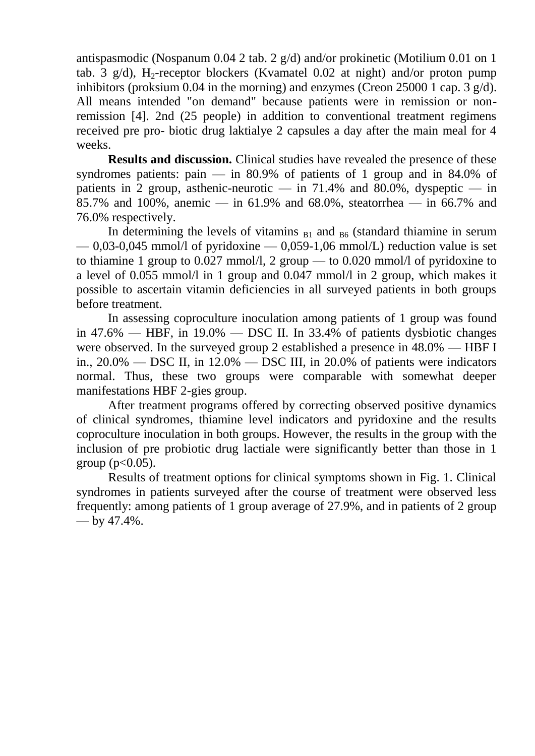antispasmodic (Nospanum 0.04 2 tab. 2 g/d) and/or prokinetic (Motilium 0.01 on 1 tab. 3  $g/d$ ), H<sub>2</sub>-receptor blockers (Kvamatel 0.02 at night) and/or proton pump inhibitors (proksium 0.04 in the morning) and enzymes (Creon 25000 1 cap. 3 g/d). All means intended "on demand" because patients were in remission or nonremission [4]. 2nd (25 people) in addition to conventional treatment regimens received pre pro- biotic drug laktialye 2 capsules a day after the main meal for 4 weeks.

**Results and discussion.** Clinical studies have revealed the presence of these syndromes patients:  $\pi$  in 80.9% of patients of 1 group and in 84.0% of patients in 2 group, asthenic-neurotic — in  $71.4\%$  and  $80.0\%$ , dyspeptic — in 85.7% and 100%, anemic — in 61.9% and 68.0%, steatorrhea — in 66.7% and 76.0% respectively.

In determining the levels of vitamins  $_{B1}$  and  $_{B6}$  (standard thiamine in serum  $-0.03-0.045$  mmol/l of pyridoxine  $-0.059-1.06$  mmol/L) reduction value is set to thiamine 1 group to 0.027 mmol/l, 2 group — to 0.020 mmol/l of pyridoxine to a level of 0.055 mmol/l in 1 group and 0.047 mmol/l in 2 group, which makes it possible to ascertain vitamin deficiencies in all surveyed patients in both groups before treatment.

In assessing coproculture inoculation among patients of 1 group was found in  $47.6\%$  — HBF, in  $19.0\%$  — DSC II. In 33.4% of patients dysbiotic changes were observed. In the surveyed group 2 established a presence in 48.0% — HBF I in., 20.0% — DSC II, in 12.0% — DSC III, in 20.0% of patients were indicators normal. Thus, these two groups were comparable with somewhat deeper manifestations HBF 2-gies group.

After treatment programs offered by correcting observed positive dynamics of clinical syndromes, thiamine level indicators and pyridoxine and the results coproculture inoculation in both groups. However, the results in the group with the inclusion of pre probiotic drug lactiale were significantly better than those in 1 group ( $p < 0.05$ ).

Results of treatment options for clinical symptoms shown in Fig. 1. Clinical syndromes in patients surveyed after the course of treatment were observed less frequently: among patients of 1 group average of 27.9%, and in patients of 2 group — by 47.4%.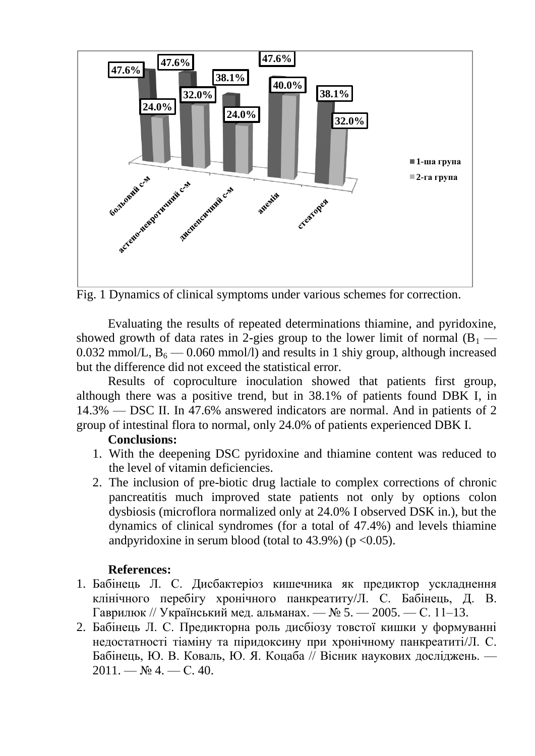

Fig. 1 Dynamics of clinical symptoms under various schemes for correction.

Evaluating the results of repeated determinations thiamine, and pyridoxine, showed growth of data rates in 2-gies group to the lower limit of normal  $(B_1 -$ 0.032 mmol/L,  $B_6$  — 0.060 mmol/l) and results in 1 shiy group, although increased but the difference did not exceed the statistical error.

Results of coproculture inoculation showed that patients first group, although there was a positive trend, but in 38.1% of patients found DBK I, in 14.3% — DSC II. In 47.6% answered indicators are normal. And in patients of 2 group of intestinal flora to normal, only 24.0% of patients experienced DBK I.

## **Conclusions:**

- 1. With the deepening DSC pyridoxine and thiamine content was reduced to the level of vitamin deficiencies.
- 2. The inclusion of pre-biotic drug lactiale to complex corrections of chronic pancreatitis much improved state patients not only by options colon dysbiosis (microflora normalized only at 24.0% I observed DSK in.), but the dynamics of clinical syndromes (for a total of 47.4%) and levels thiamine andpyridoxine in serum blood (total to  $43.9\%$ ) (p < 0.05).

## **References:**

- 1. Бабінець Л. С. Дисбактеріоз кишечника як предиктор ускладнення клінічного перебігу хронічного панкреатиту/Л. С. Бабінець, Д. В. Гаврилюк // Український мед. альманах. — № 5. — 2005. — С. 11–13.
- 2. Бабінець Л. С. Предикторна роль дисбіозу товстої кишки у формуванні недостатності тіаміну та піридоксину при хронічному панкреатиті/Л. С. Бабінець, Ю. В. Коваль, Ю. Я. Коцаба // Вісник наукових досліджень. —  $2011. - N<sub>2</sub> 4. - C. 40.$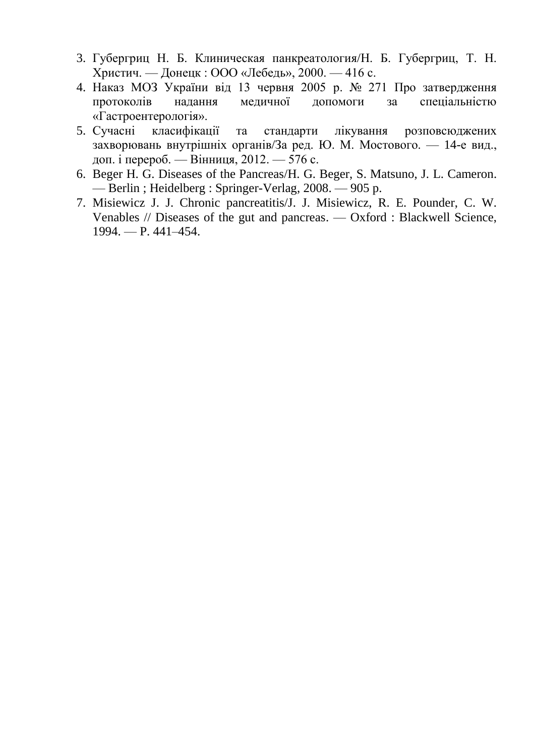- 3. Губергриц Н. Б. Клиническая панкреатология/Н. Б. Губергриц, Т. Н. Христич. — Донецк : ООО «Лебедь», 2000. — 416 с.
- 4. Наказ МОЗ України від 13 червня 2005 р. № 271 Про затвердження протоколів надання медичної допомоги за спеціальністю «Гастроентерологія».
- 5. Сучасні класифікації та стандарти лікування розповсюджених захворювань внутрішніх органів/За ред. Ю. М. Мостового. — 14-е вид., доп. і перероб. — Вінниця, 2012. — 576 с.
- 6. Beger H. G. Diseases of the Pancreas/H. G. Beger, S. Matsuno, J. L. Cameron. — Berlin ; Heidelberg : Springer-Verlag, 2008. — 905 p.
- 7. Misiewicz J. J. Chronic pancreatitis/J. J. Misiewicz, R. E. Pounder, C. W. Venables // Diseases of the gut and pancreas. — Oxford : Blackwell Science, 1994. — P. 441–454.